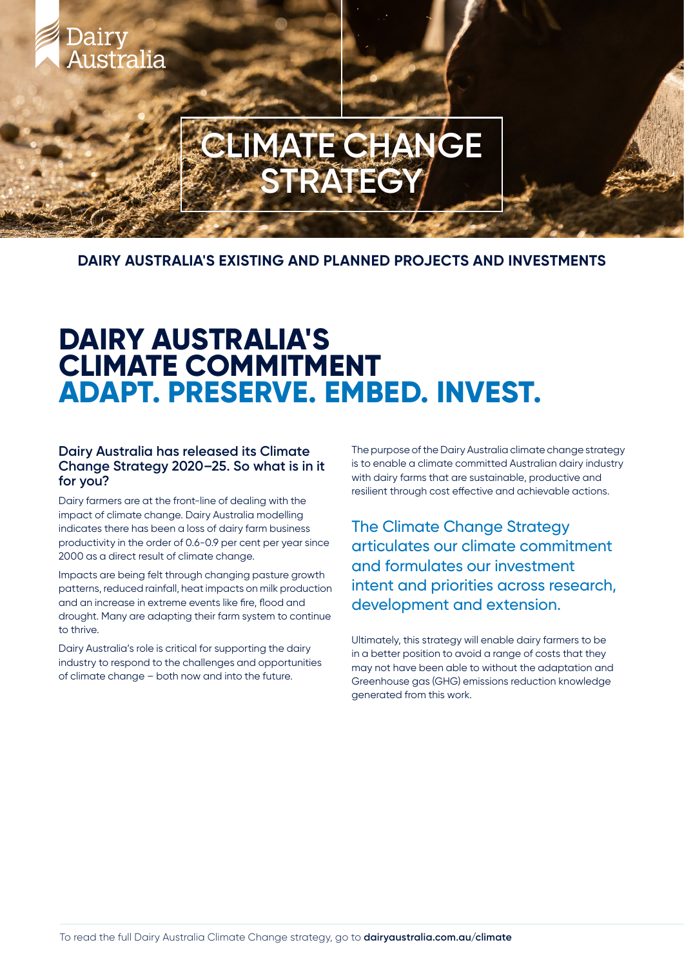# **CLIMATE CHANGE SPANE SC**

**DAIRY AUSTRALIA'S EXISTING AND PLANNED PROJECTS AND INVESTMENTS**

# **DAIRY AUSTRALIA'S CLIMATE COMMITMENT ADAPT. PRESERVE. EMBED. INVEST.**

#### **Dairy Australia has released its Climate Change Strategy 2020–25. So what is in it for you?**

Dairy

Australia

Dairy farmers are at the front-line of dealing with the impact of climate change. Dairy Australia modelling indicates there has been a loss of dairy farm business productivity in the order of 0.6-0.9 per cent per year since 2000 as a direct result of climate change.

Impacts are being felt through changing pasture growth patterns, reduced rainfall, heat impacts on milk production and an increase in extreme events like fire, flood and drought. Many are adapting their farm system to continue to thrive.

Dairy Australia's role is critical for supporting the dairy industry to respond to the challenges and opportunities of climate change – both now and into the future.

The purpose of the Dairy Australia climate change strategy is to enable a climate committed Australian dairy industry with dairy farms that are sustainable, productive and resilient through cost effective and achievable actions.

The Climate Change Strategy articulates our climate commitment and formulates our investment intent and priorities across research, development and extension.

Ultimately, this strategy will enable dairy farmers to be in a better position to avoid a range of costs that they may not have been able to without the adaptation and Greenhouse gas (GHG) emissions reduction knowledge generated from this work.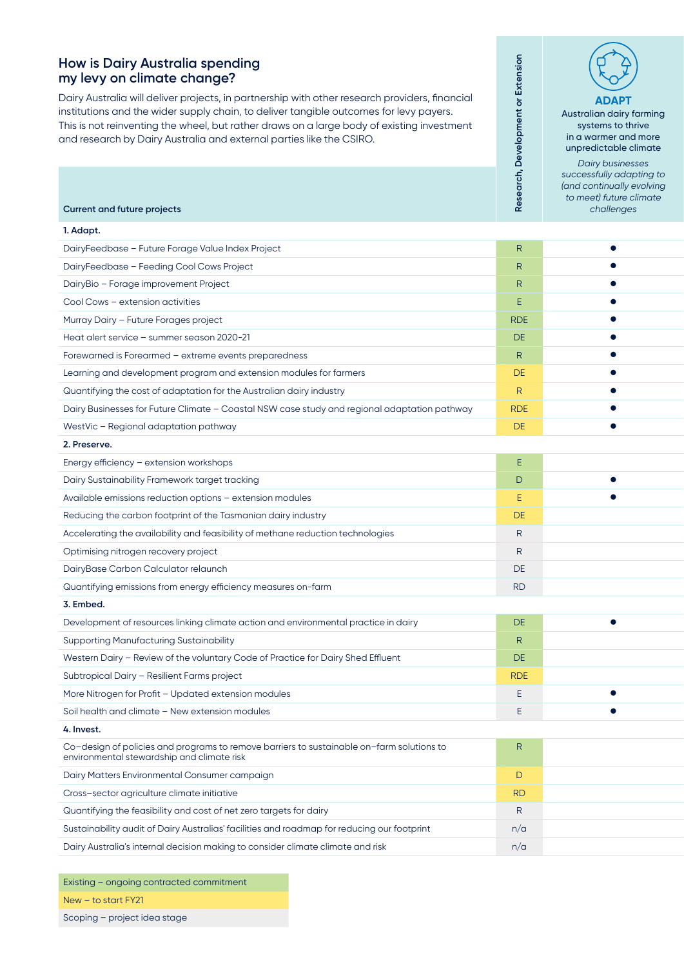#### **How is Dairy Australia spending my levy on climate change?**

Dairy Australia will deliver projects, in partnership with other research providers, financial institutions and the wider supply chain, to deliver tangible outcomes for levy payers. This is not reinventing the wheel, but rather draws on a large body of existing investment and research by Dairy Australia and external parties like the CSIRO.

**ADAPT** Australian dairy farming systems to thrive in a warmer and more unpredictable climate *Dairy businesses successfully adapting to (and continually evolving to meet) future climate* 

*challenges*

**Research, Development or Extension**

Research, Development or Extension

**Current and future projects**

| 1. Adapt.                                                                                                                               |                |           |
|-----------------------------------------------------------------------------------------------------------------------------------------|----------------|-----------|
| DairyFeedbase - Future Forage Value Index Project                                                                                       | R              |           |
| DairyFeedbase - Feeding Cool Cows Project                                                                                               | $\overline{R}$ |           |
| DairyBio - Forage improvement Project                                                                                                   | R              |           |
| Cool Cows - extension activities                                                                                                        |                |           |
| Murray Dairy - Future Forages project                                                                                                   | <b>RDE</b>     |           |
| Heat alert service - summer season 2020-21                                                                                              | DE             |           |
| Forewarned is Forearmed - extreme events preparedness                                                                                   | R              |           |
| Learning and development program and extension modules for farmers                                                                      | DE             |           |
| Quantifying the cost of adaptation for the Australian dairy industry                                                                    | R              |           |
| Dairy Businesses for Future Climate - Coastal NSW case study and regional adaptation pathway                                            | <b>RDE</b>     |           |
| WestVic - Regional adaptation pathway                                                                                                   | DE             |           |
| 2. Preserve.                                                                                                                            |                |           |
| Energy efficiency - extension workshops                                                                                                 | E.             |           |
| Dairy Sustainability Framework target tracking                                                                                          | $\mathsf{D}$   | $\bullet$ |
| Available emissions reduction options - extension modules                                                                               | E.             |           |
| Reducing the carbon footprint of the Tasmanian dairy industry                                                                           | DE             |           |
| Accelerating the availability and feasibility of methane reduction technologies                                                         | R              |           |
| Optimising nitrogen recovery project                                                                                                    | R              |           |
| DairyBase Carbon Calculator relaunch                                                                                                    | DE             |           |
| Quantifying emissions from energy efficiency measures on-farm                                                                           | <b>RD</b>      |           |
| 3. Embed.                                                                                                                               |                |           |
| Development of resources linking climate action and environmental practice in dairy                                                     | DE             | $\bullet$ |
| <b>Supporting Manufacturing Sustainability</b>                                                                                          | R              |           |
| Western Dairy - Review of the voluntary Code of Practice for Dairy Shed Effluent                                                        | DE             |           |
| Subtropical Dairy - Resilient Farms project                                                                                             | <b>RDE</b>     |           |
| More Nitrogen for Profit - Updated extension modules                                                                                    | E.             |           |
| Soil health and climate - New extension modules                                                                                         | E.             |           |
| 4. Invest.                                                                                                                              |                |           |
| Co-design of policies and programs to remove barriers to sustainable on-farm solutions to<br>environmental stewardship and climate risk | $\mathsf{R}$   |           |
| Dairy Matters Environmental Consumer campaign                                                                                           | $\Box$         |           |
| Cross-sector agriculture climate initiative                                                                                             | <b>RD</b>      |           |
| Quantifying the feasibility and cost of net zero targets for dairy                                                                      | $\mathsf{R}$   |           |
| Sustainability audit of Dairy Australias' facilities and roadmap for reducing our footprint                                             | n/a            |           |
| Dairy Australia's internal decision making to consider climate climate and risk                                                         | n/a            |           |
|                                                                                                                                         |                |           |

Existing – ongoing contracted commitment New – to start FY21 Scoping – project idea stage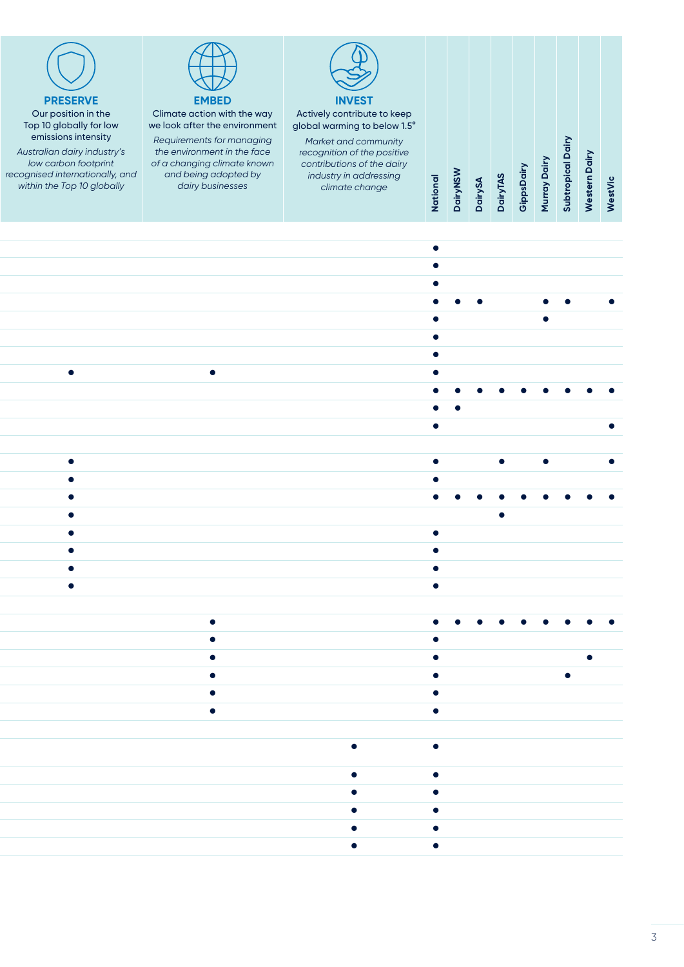

#### **PRESERVE** Our position in the Top 10 globally for low emissions intensity

*Australian dairy industry's low carbon footprint recognised internationally, and within the Top 10 globally*



#### Climate action with the way we look after the environment

*Requirements for managing the environment in the face of a changing climate known and being adopted by dairy businesses*



global warming to below 1.5° *Market and community* 

*recognition of the positive contributions of the dairy industry in addressing climate change*

**National**

**Subtropical Dairy Subtropical Dairy Western Dairy Western Dairy** Murray Dairy GippsDairy **Murray Dairy DairyNSW GippsDairy DairyNSW** National **WestVic DairySA DairyTAS**

|  |           |  |                                                                                                                                                         | $\bullet$                        |                       |           |           |           |                     |
|--|-----------|--|---------------------------------------------------------------------------------------------------------------------------------------------------------|----------------------------------|-----------------------|-----------|-----------|-----------|---------------------|
|  |           |  |                                                                                                                                                         | $\bullet$                        |                       |           |           |           |                     |
|  |           |  |                                                                                                                                                         | $\bullet$                        | $\bullet\quad\bullet$ |           |           | . .       |                     |
|  |           |  |                                                                                                                                                         | $\bullet$                        |                       |           |           |           |                     |
|  |           |  |                                                                                                                                                         | $\bullet$                        |                       |           |           |           |                     |
|  |           |  |                                                                                                                                                         | $\bullet$ . The set of $\bullet$ |                       |           |           |           |                     |
|  | $\bullet$ |  |                                                                                                                                                         | $\bullet$                        |                       |           |           |           |                     |
|  |           |  |                                                                                                                                                         |                                  |                       | .         |           |           |                     |
|  |           |  |                                                                                                                                                         | $\bullet\qquad\bullet$           |                       |           |           |           |                     |
|  |           |  |                                                                                                                                                         | $\bullet$                        |                       |           |           |           | $\bullet$           |
|  |           |  |                                                                                                                                                         |                                  |                       |           |           |           |                     |
|  |           |  |                                                                                                                                                         | $\bullet$                        |                       | $\bullet$ | $\bullet$ |           | $\bullet$           |
|  |           |  |                                                                                                                                                         | $\bullet$                        |                       |           |           |           |                     |
|  |           |  |                                                                                                                                                         |                                  |                       |           |           | $\bullet$ | $\bullet$ $\bullet$ |
|  |           |  |                                                                                                                                                         |                                  |                       | $\bullet$ |           |           |                     |
|  |           |  |                                                                                                                                                         | $\bullet$                        |                       |           |           |           |                     |
|  |           |  |                                                                                                                                                         | $\bullet$                        |                       |           |           |           |                     |
|  |           |  |                                                                                                                                                         | $\bullet$                        |                       |           |           |           |                     |
|  |           |  |                                                                                                                                                         | $\bullet$                        |                       |           |           |           |                     |
|  |           |  |                                                                                                                                                         |                                  |                       |           |           |           |                     |
|  |           |  |                                                                                                                                                         |                                  |                       |           |           |           |                     |
|  |           |  |                                                                                                                                                         | $\bullet$                        |                       |           |           |           |                     |
|  |           |  |                                                                                                                                                         | $\bullet$                        |                       |           |           |           | $\bullet$           |
|  |           |  |                                                                                                                                                         |                                  |                       |           |           | $\bullet$ |                     |
|  |           |  |                                                                                                                                                         | $\bullet$                        |                       |           |           |           |                     |
|  |           |  |                                                                                                                                                         | $\bullet$                        |                       |           |           |           |                     |
|  |           |  |                                                                                                                                                         | $\bullet$                        |                       |           |           |           |                     |
|  |           |  |                                                                                                                                                         |                                  |                       |           |           |           |                     |
|  |           |  |                                                                                                                                                         |                                  |                       |           |           |           |                     |
|  |           |  | $\bullet$ and $\bullet$                                                                                                                                 | $\bullet$                        |                       |           |           |           |                     |
|  |           |  | $\bullet$ .<br><br><br><br><br><br><br><br><br><br><br><br><br><br><br><br><br><br><br><br><br><br><br><br><br><br><br><br><br><br><br><br><br><br><br> | $\bullet$                        |                       |           |           |           |                     |
|  |           |  | $\bullet$ . The set of $\bullet$                                                                                                                        | $\bullet$                        |                       |           |           |           |                     |
|  |           |  | $\bullet$                                                                                                                                               | $\bullet$                        |                       |           |           |           |                     |
|  |           |  |                                                                                                                                                         |                                  |                       |           |           |           |                     |
|  |           |  | $\bullet$ and $\bullet$                                                                                                                                 | $\bullet$                        |                       |           |           |           |                     |
|  |           |  |                                                                                                                                                         |                                  |                       |           |           |           |                     |